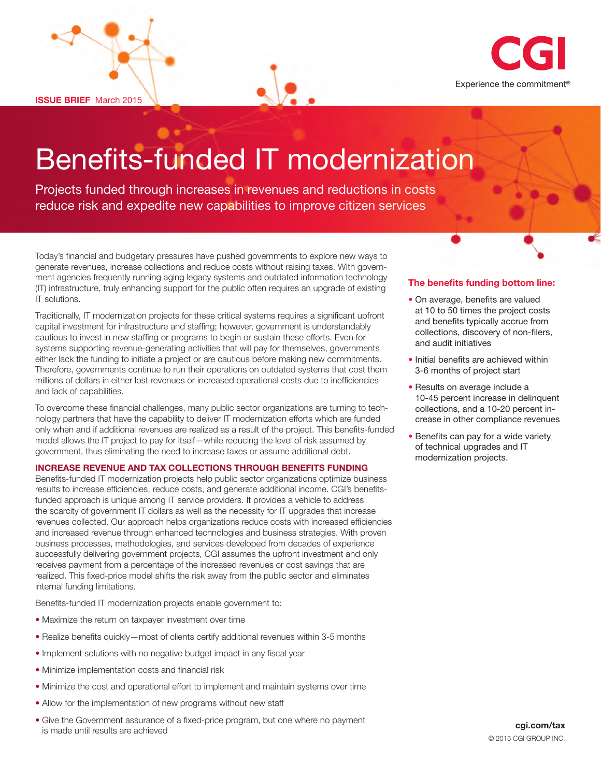**ISSUE BRIEF** March 2015



# Benefits-funded IT modernization

Projects funded through increases in revenues and reductions in costs reduce risk and expedite new capabilities to improve citizen services

Today's financial and budgetary pressures have pushed governments to explore new ways to generate revenues, increase collections and reduce costs without raising taxes. With government agencies frequently running aging legacy systems and outdated information technology (IT) infrastructure, truly enhancing support for the public often requires an upgrade of existing IT solutions.

Traditionally, IT modernization projects for these critical systems requires a significant upfront capital investment for infrastructure and staffing; however, government is understandably cautious to invest in new staffing or programs to begin or sustain these efforts. Even for systems supporting revenue-generating activities that will pay for themselves, governments either lack the funding to initiate a project or are cautious before making new commitments. Therefore, governments continue to run their operations on outdated systems that cost them millions of dollars in either lost revenues or increased operational costs due to inefficiencies and lack of capabilities.

To overcome these financial challenges, many public sector organizations are turning to technology partners that have the capability to deliver IT modernization efforts which are funded only when and if additional revenues are realized as a result of the project. This benefits-funded model allows the IT project to pay for itself—while reducing the level of risk assumed by government, thus eliminating the need to increase taxes or assume additional debt.

### **INCREASE REVENUE AND TAX COLLECTIONS THROUGH BENEFITS FUNDING**

Benefits-funded IT modernization projects help public sector organizations optimize business results to increase efficiencies, reduce costs, and generate additional income. CGI's benefitsfunded approach is unique among IT service providers. It provides a vehicle to address the scarcity of government IT dollars as well as the necessity for IT upgrades that increase revenues collected. Our approach helps organizations reduce costs with increased efficiencies and increased revenue through enhanced technologies and business strategies. With proven business processes, methodologies, and services developed from decades of experience successfully delivering government projects, CGI assumes the upfront investment and only receives payment from a percentage of the increased revenues or cost savings that are realized. This fixed-price model shifts the risk away from the public sector and eliminates internal funding limitations.

Benefits-funded IT modernization projects enable government to:

- Maximize the return on taxpayer investment over time
- Realize benefits quickly—most of clients certify additional revenues within 3-5 months
- Implement solutions with no negative budget impact in any fiscal year
- Minimize implementation costs and financial risk
- Minimize the cost and operational effort to implement and maintain systems over time
- Allow for the implementation of new programs without new staff
- Give the Government assurance of a fixed-price program, but one where no payment is made until results are achieved

## **The benefits funding bottom line:**

- On average, benefits are valued at 10 to 50 times the project costs and benefits typically accrue from collections, discovery of non-filers, and audit initiatives
- Initial benefits are achieved within 3-6 months of project start
- Results on average include a 10-45 percent increase in delinquent collections, and a 10-20 percent increase in other compliance revenues
- Benefits can pay for a wide variety of technical upgrades and IT modernization projects.